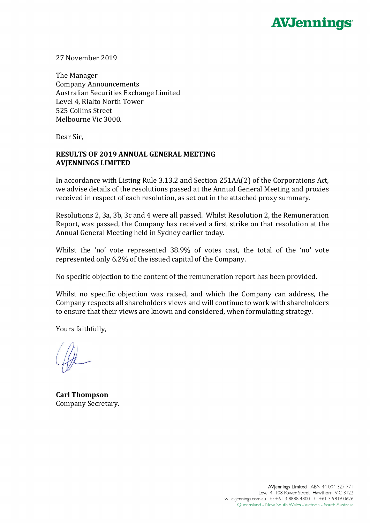

27 November 2019

The Manager Company Announcements Australian Securities Exchange Limited Level 4, Rialto North Tower 525 Collins Street Melbourne Vic 3000.

Dear Sir,

## **RESULTS OF 2019 ANNUAL GENERAL MEETING AVJENNINGS LIMITED**

In accordance with Listing Rule 3.13.2 and Section 251AA(2) of the Corporations Act, we advise details of the resolutions passed at the Annual General Meeting and proxies received in respect of each resolution, as set out in the attached proxy summary.

Resolutions 2, 3a, 3b, 3c and 4 were all passed. Whilst Resolution 2, the Remuneration Report, was passed, the Company has received a first strike on that resolution at the Annual General Meeting held in Sydney earlier today.

Whilst the 'no' vote represented 38.9% of votes cast, the total of the 'no' vote represented only 6.2% of the issued capital of the Company.

No specific objection to the content of the remuneration report has been provided.

Whilst no specific objection was raised, and which the Company can address, the Company respects all shareholders views and will continue to work with shareholders to ensure that their views are known and considered, when formulating strategy.

Yours faithfully,

**Carl Thompson** Company Secretary.